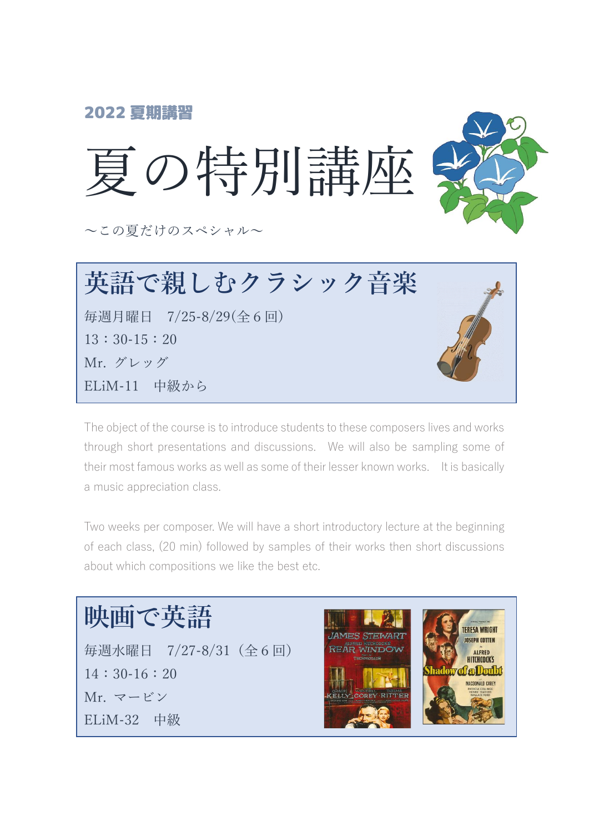

毎週月曜日 7/25-8/29(全6回) 13:30-15:20 Mr. グレッグ ELiM-11 中級から



The object of the course is to introduce students to these composers lives and works through short presentations and discussions. We will also be sampling some of their most famous works as well as some of their lesser known works. It is basically a music appreciation class.

Two weeks per composer. We will have a short introductory lecture at the beginning of each class, (20 min) followed by samples of their works then short discussions about which compositions we like the best etc.

## **映画で英語**

毎週水曜日 7/27-8/31(全6回) 14:30-16:20 Mr. マービン ELiM-32 中級

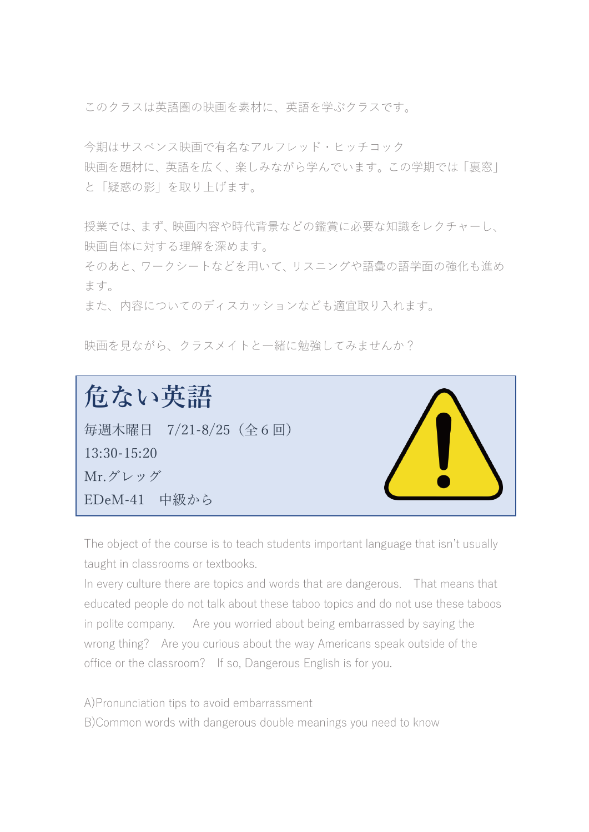このクラスは英語圏の映画を素材に、英語を学ぶクラスです。

今期はサスペンス映画で有名なアルフレッド・ヒッチコック 映画を題材に、英語を広く、楽しみながら学んでいます。この学期では「裏窓」 と「疑惑の影」を取り上げます。

授業では、まず、映画内容や時代背景などの鑑賞に必要な知識をレクチャーし、 映画自体に対する理解を深めます。

そのあと、ワークシートなどを用いて、リスニングや語彙の語学面の強化も進め ます。

また、内容についてのディスカッションなども適宜取り入れます。

映画を見ながら、クラスメイトと一緒に勉強してみませんか?

**危ない英語** 毎週木曜日 7/21-8/25(全6回) 13:30-15:20 Mr.グレッグ EDeM-41 中級から

The object of the course is to teach students important language that isn't usually taught in classrooms or textbooks.

In every culture there are topics and words that are dangerous. That means that educated people do not talk about these taboo topics and do not use these taboos in polite company. Are you worried about being embarrassed by saying the wrong thing? Are you curious about the way Americans speak outside of the office or the classroom? If so, Dangerous English is for you.

A)Pronunciation tips to avoid embarrassment B)Common words with dangerous double meanings you need to know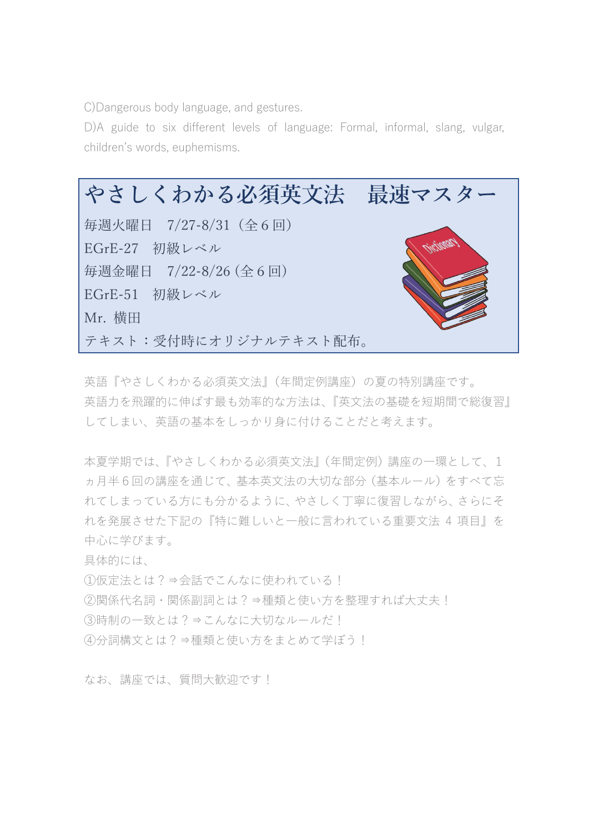C)Dangerous body language, and gestures.

D)A guide to six different levels of language: Formal, informal, slang, vulgar, children's words, euphemisms.



英語『やさしくわかる必須英文法』(年間定例講座)の夏の特別講座です。 英語力を飛躍的に伸ばす最も効率的な方法は、『英文法の基礎を短期間で総復習』 してしまい、英語の基本をしっかり身に付けることだと考えます。

本夏学期では、『やさしくわかる必須英文法』(年間定例)講座の一環として、1 ヵ月半6回の講座を通じて、基本英文法の大切な部分(基本ルール)をすべて忘 れてしまっている方にも分かるように、やさしく丁寧に復習しながら、さらにそ れを発展させた下記の『特に難しいと一般に言われている重要文法 4 項目』を 中心に学びます。

具体的には、

①仮定法とは?⇒会話でこんなに使われている!

②関係代名詞・関係副詞とは?⇒種類と使い方を整理すれば大丈夫!

③時制の一致とは?⇒こんなに大切なルールだ!

④分詞構文とは?⇒種類と使い方をまとめて学ぼう!

なお、講座では、質問大歓迎です!